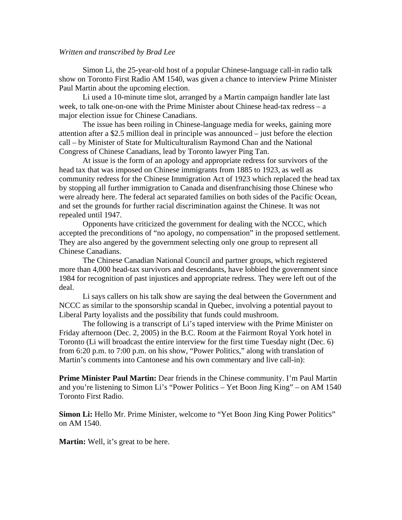## *Written and transcribed by Brad Lee*

 Simon Li, the 25-year-old host of a popular Chinese-language call-in radio talk show on Toronto First Radio AM 1540, was given a chance to interview Prime Minister Paul Martin about the upcoming election.

 Li used a 10-minute time slot, arranged by a Martin campaign handler late last week, to talk one-on-one with the Prime Minister about Chinese head-tax redress – a major election issue for Chinese Canadians.

 The issue has been roiling in Chinese-language media for weeks, gaining more attention after a \$2.5 million deal in principle was announced – just before the election call – by Minister of State for Multiculturalism Raymond Chan and the National Congress of Chinese Canadians, lead by Toronto lawyer Ping Tan.

 At issue is the form of an apology and appropriate redress for survivors of the head tax that was imposed on Chinese immigrants from 1885 to 1923, as well as community redress for the Chinese Immigration Act of 1923 which replaced the head tax by stopping all further immigration to Canada and disenfranchising those Chinese who were already here. The federal act separated families on both sides of the Pacific Ocean, and set the grounds for further racial discrimination against the Chinese. It was not repealed until 1947.

 Opponents have criticized the government for dealing with the NCCC, which accepted the preconditions of "no apology, no compensation" in the proposed settlement. They are also angered by the government selecting only one group to represent all Chinese Canadians.

 The Chinese Canadian National Council and partner groups, which registered more than 4,000 head-tax survivors and descendants, have lobbied the government since 1984 for recognition of past injustices and appropriate redress. They were left out of the deal.

 Li says callers on his talk show are saying the deal between the Government and NCCC as similar to the sponsorship scandal in Quebec, involving a potential payout to Liberal Party loyalists and the possibility that funds could mushroom.

 The following is a transcript of Li's taped interview with the Prime Minister on Friday afternoon (Dec. 2, 2005) in the B.C. Room at the Fairmont Royal York hotel in Toronto (Li will broadcast the entire interview for the first time Tuesday night (Dec. 6) from 6:20 p.m. to 7:00 p.m. on his show, "Power Politics," along with translation of Martin's comments into Cantonese and his own commentary and live call-in):

**Prime Minister Paul Martin:** Dear friends in the Chinese community. I'm Paul Martin and you're listening to Simon Li's "Power Politics – Yet Boon Jing King" – on AM 1540 Toronto First Radio.

**Simon Li:** Hello Mr. Prime Minister, welcome to "Yet Boon Jing King Power Politics" on AM 1540.

**Martin:** Well, it's great to be here.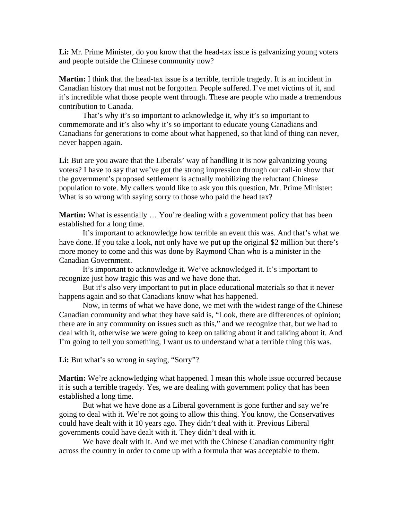Li: Mr. Prime Minister, do you know that the head-tax issue is galvanizing young voters and people outside the Chinese community now?

**Martin:** I think that the head-tax issue is a terrible, terrible tragedy. It is an incident in Canadian history that must not be forgotten. People suffered. I've met victims of it, and it's incredible what those people went through. These are people who made a tremendous contribution to Canada.

 That's why it's so important to acknowledge it, why it's so important to commemorate and it's also why it's so important to educate young Canadians and Canadians for generations to come about what happened, so that kind of thing can never, never happen again.

Li: But are you aware that the Liberals' way of handling it is now galvanizing young voters? I have to say that we've got the strong impression through our call-in show that the government's proposed settlement is actually mobilizing the reluctant Chinese population to vote. My callers would like to ask you this question, Mr. Prime Minister: What is so wrong with saying sorry to those who paid the head tax?

**Martin:** What is essentially ... You're dealing with a government policy that has been established for a long time.

 It's important to acknowledge how terrible an event this was. And that's what we have done. If you take a look, not only have we put up the original \$2 million but there's more money to come and this was done by Raymond Chan who is a minister in the Canadian Government.

 It's important to acknowledge it. We've acknowledged it. It's important to recognize just how tragic this was and we have done that.

 But it's also very important to put in place educational materials so that it never happens again and so that Canadians know what has happened.

 Now, in terms of what we have done, we met with the widest range of the Chinese Canadian community and what they have said is, "Look, there are differences of opinion; there are in any community on issues such as this," and we recognize that, but we had to deal with it, otherwise we were going to keep on talking about it and talking about it. And I'm going to tell you something, I want us to understand what a terrible thing this was.

Li: But what's so wrong in saying, "Sorry"?

**Martin:** We're acknowledging what happened. I mean this whole issue occurred because it is such a terrible tragedy. Yes, we are dealing with government policy that has been established a long time.

 But what we have done as a Liberal government is gone further and say we're going to deal with it. We're not going to allow this thing. You know, the Conservatives could have dealt with it 10 years ago. They didn't deal with it. Previous Liberal governments could have dealt with it. They didn't deal with it.

 We have dealt with it. And we met with the Chinese Canadian community right across the country in order to come up with a formula that was acceptable to them.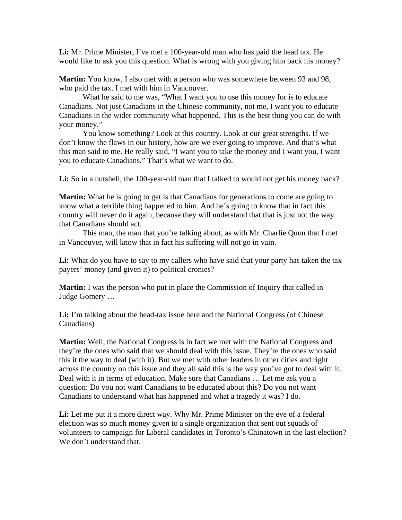**Li:** Mr. Prime Minister, I've met a 100-year-old man who has paid the head tax. He would like to ask you this question. What is wrong with you giving him back his money?

**Martin:** You know, I also met with a person who was somewhere between 93 and 98, who paid the tax. I met with him in Vancouver.

 What he said to me was, "What I want you to use this money for is to educate Canadians. Not just Canadians in the Chinese community, not me, I want you to educate Canadians in the wider community what happened. This is the best thing you can do with your money."

 You know something? Look at this country. Look at our great strengths. If we don't know the flaws in our history, how are we ever going to improve. And that's what this man said to me. He really said, "I want you to take the money and I want you, I want you to educate Canadians." That's what we want to do.

Li: So in a nutshell, the 100-year-old man that I talked to would not get his money back?

**Martin:** What he is going to get is that Canadians for generations to come are going to know what a terrible thing happened to him. And he's going to know that in fact this country will never do it again, because they will understand that that is just not the way that Canadians should act.

 This man, the man that you're talking about, as with Mr. Charlie Quon that I met in Vancouver, will know that in fact his suffering will not go in vain.

**Li:** What do you have to say to my callers who have said that your party has taken the tax payers' money (and given it) to political cronies?

**Martin:** I was the person who put in place the Commission of Inquiry that called in Judge Gomery …

Li: I'm talking about the head-tax issue here and the National Congress (of Chinese Canadians)

**Martin:** Well, the National Congress is in fact we met with the National Congress and they're the ones who said that we should deal with this issue. They're the ones who said this it the way to deal (with it). But we met with other leaders in other cities and right across the country on this issue and they all said this is the way you've got to deal with it. Deal with it in terms of education. Make sure that Canadians … Let me ask you a question: Do you not want Canadians to be educated about this? Do you not want Canadians to understand what has happened and what a tragedy it was? I do.

Li: Let me put it a more direct way. Why Mr. Prime Minister on the eve of a federal election was so much money given to a single organization that sent out squads of volunteers to campaign for Liberal candidates in Toronto's Chinatown in the last election? We don't understand that.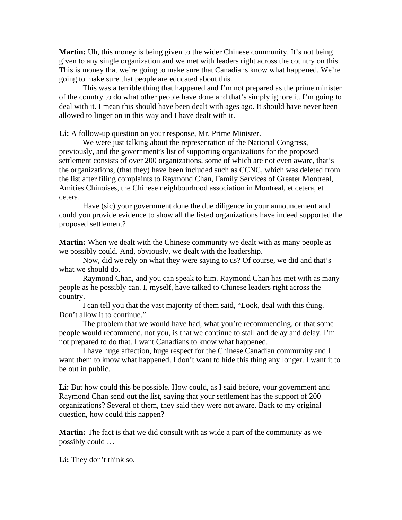**Martin:** Uh, this money is being given to the wider Chinese community. It's not being given to any single organization and we met with leaders right across the country on this. This is money that we're going to make sure that Canadians know what happened. We're going to make sure that people are educated about this.

 This was a terrible thing that happened and I'm not prepared as the prime minister of the country to do what other people have done and that's simply ignore it. I'm going to deal with it. I mean this should have been dealt with ages ago. It should have never been allowed to linger on in this way and I have dealt with it.

**Li:** A follow-up question on your response, Mr. Prime Minister.

 We were just talking about the representation of the National Congress, previously, and the government's list of supporting organizations for the proposed settlement consists of over 200 organizations, some of which are not even aware, that's the organizations, (that they) have been included such as CCNC, which was deleted from the list after filing complaints to Raymond Chan, Family Services of Greater Montreal, Amities Chinoises, the Chinese neighbourhood association in Montreal, et cetera, et cetera.

 Have (sic) your government done the due diligence in your announcement and could you provide evidence to show all the listed organizations have indeed supported the proposed settlement?

**Martin:** When we dealt with the Chinese community we dealt with as many people as we possibly could. And, obviously, we dealt with the leadership.

 Now, did we rely on what they were saying to us? Of course, we did and that's what we should do.

 Raymond Chan, and you can speak to him. Raymond Chan has met with as many people as he possibly can. I, myself, have talked to Chinese leaders right across the country.

 I can tell you that the vast majority of them said, "Look, deal with this thing. Don't allow it to continue."

 The problem that we would have had, what you're recommending, or that some people would recommend, not you, is that we continue to stall and delay and delay. I'm not prepared to do that. I want Canadians to know what happened.

 I have huge affection, huge respect for the Chinese Canadian community and I want them to know what happened. I don't want to hide this thing any longer. I want it to be out in public.

Li: But how could this be possible. How could, as I said before, your government and Raymond Chan send out the list, saying that your settlement has the support of 200 organizations? Several of them, they said they were not aware. Back to my original question, how could this happen?

**Martin:** The fact is that we did consult with as wide a part of the community as we possibly could …

**Li:** They don't think so.